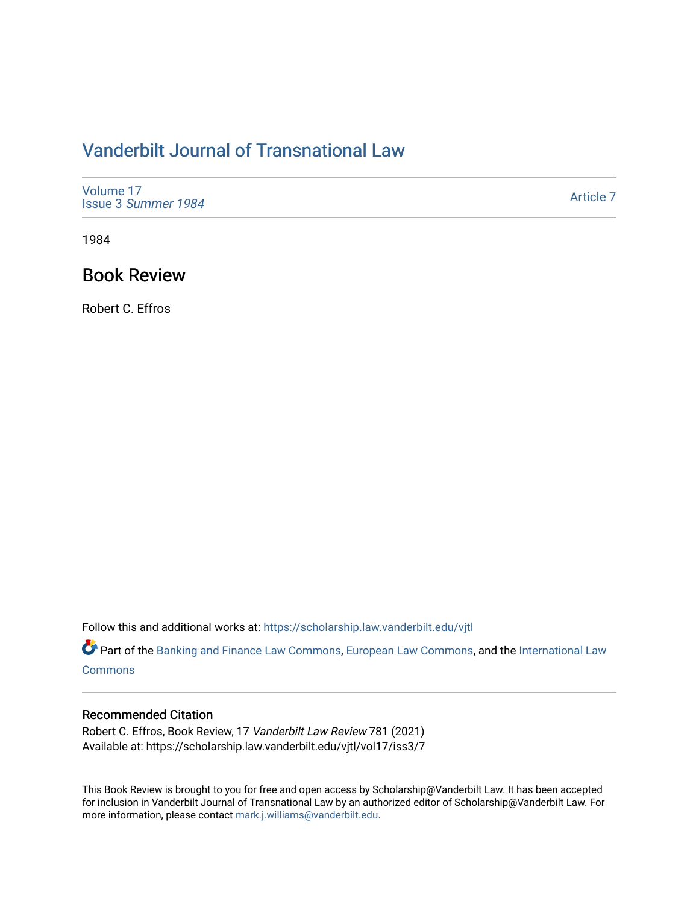# [Vanderbilt Journal of Transnational Law](https://scholarship.law.vanderbilt.edu/vjtl)

| Volume 17<br>Issue 3 Summer 1984 | Article 7 |
|----------------------------------|-----------|
|----------------------------------|-----------|

1984

### Book Review

Robert C. Effros

Follow this and additional works at: [https://scholarship.law.vanderbilt.edu/vjtl](https://scholarship.law.vanderbilt.edu/vjtl?utm_source=scholarship.law.vanderbilt.edu%2Fvjtl%2Fvol17%2Fiss3%2F7&utm_medium=PDF&utm_campaign=PDFCoverPages) 

Part of the [Banking and Finance Law Commons,](http://network.bepress.com/hgg/discipline/833?utm_source=scholarship.law.vanderbilt.edu%2Fvjtl%2Fvol17%2Fiss3%2F7&utm_medium=PDF&utm_campaign=PDFCoverPages) [European Law Commons,](http://network.bepress.com/hgg/discipline/1084?utm_source=scholarship.law.vanderbilt.edu%2Fvjtl%2Fvol17%2Fiss3%2F7&utm_medium=PDF&utm_campaign=PDFCoverPages) and the International Law **[Commons](http://network.bepress.com/hgg/discipline/609?utm_source=scholarship.law.vanderbilt.edu%2Fvjtl%2Fvol17%2Fiss3%2F7&utm_medium=PDF&utm_campaign=PDFCoverPages)** 

#### Recommended Citation

Robert C. Effros, Book Review, 17 Vanderbilt Law Review 781 (2021) Available at: https://scholarship.law.vanderbilt.edu/vjtl/vol17/iss3/7

This Book Review is brought to you for free and open access by Scholarship@Vanderbilt Law. It has been accepted for inclusion in Vanderbilt Journal of Transnational Law by an authorized editor of Scholarship@Vanderbilt Law. For more information, please contact [mark.j.williams@vanderbilt.edu](mailto:mark.j.williams@vanderbilt.edu).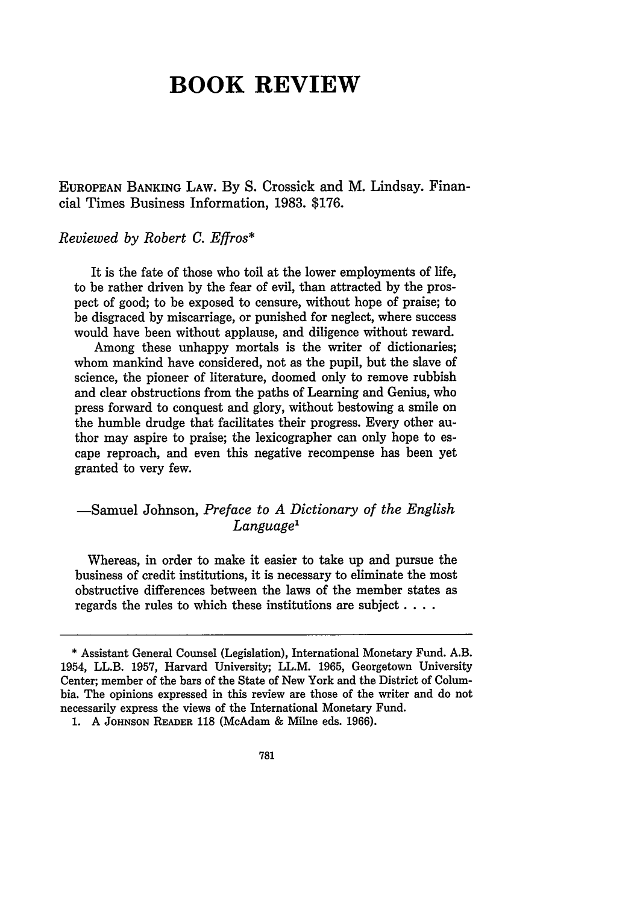## **BOOK REVIEW**

**EUROPEAN BANKING LAW. By S.** Crossick and M. Lindsay. Financial Times Business Information, **1983. \$176.**

*Reviewed by Robert C. Effros\**

It is the fate of those who toil at the lower employments of life, to be rather driven by the fear of evil, than attracted by the prospect of good; to be exposed to censure, without hope of praise; to be disgraced by miscarriage, or punished for neglect, where success would have been without applause, and diligence without reward.

Among these unhappy mortals is the writer of dictionaries; whom mankind have considered, not as the pupil, but the slave of science, the pioneer of literature, doomed only to remove rubbish and clear obstructions from the paths of Learning and Genius, who press forward to conquest and glory, without bestowing a smile on the humble drudge that facilitates their progress. Every other author may aspire to praise; the lexicographer can only hope to escape reproach, and even this negative recompense has been yet granted to very few.

### -Samuel Johnson, *Preface to A Dictionary of the English Language'*

Whereas, in order to make it easier to take up and pursue the business of credit institutions, it is necessary to eliminate the most obstructive differences between the laws of the member states as regards the rules to which these institutions are subject **....**

**<sup>\*</sup>** Assistant General Counsel (Legislation), International Monetary Fund. A.B. 1954, LL.B. **1957,** Harvard University; LL.M. 1965, Georgetown University Center; member of the bars of the State of New York and the District of Columbia. The opinions expressed in this review are those of the writer and do not necessarily express the views of the International Monetary Fund.

**<sup>1.</sup>** A **JOHNSON** READER **118** (McAdam & Milne eds. 1966).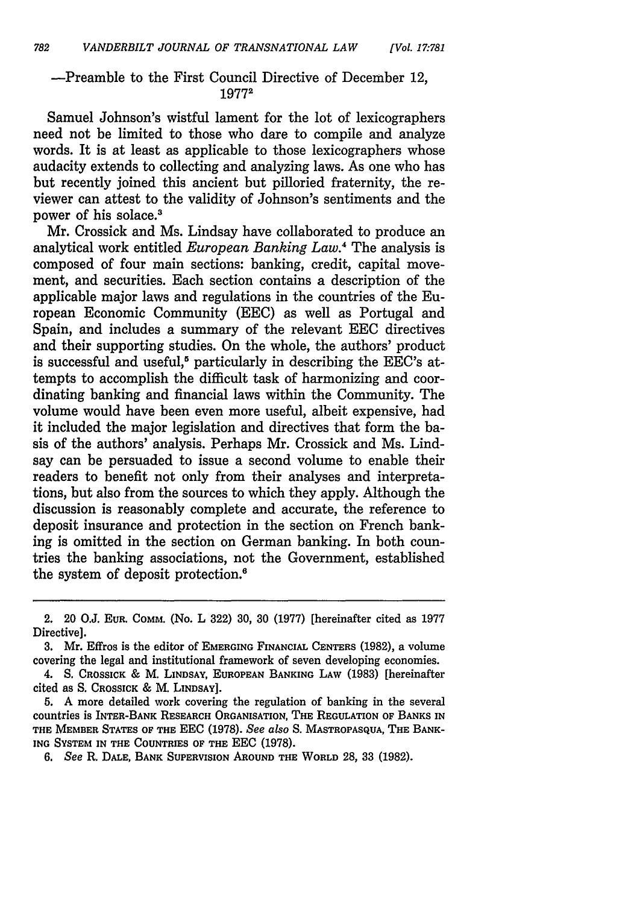#### -Preamble to the First Council Directive of December 12, **19772**

Samuel Johnson's wistful lament for the lot of lexicographers need not be limited to those who dare to compile and analyze words. It is at least as applicable to those lexicographers whose audacity extends to collecting and analyzing laws. As one who has but recently joined this ancient but pilloried fraternity, the reviewer can attest to the validity of Johnson's sentiments and the power of his solace.3

Mr. Crossick and Ms. Lindsay have collaborated to produce an analytical work entitled *European Banking Law. <sup>4</sup>*The analysis is composed of four main sections: banking, credit, capital movement, and securities. Each section contains a description of the applicable major laws and regulations in the countries of the European Economic Community (EEC) as well as Portugal and Spain, and includes a summary of the relevant EEC directives and their supporting studies. On the whole, the authors' product is successful and useful,<sup>5</sup> particularly in describing the EEC's attempts to accomplish the difficult task of harmonizing and coordinating banking and financial laws within the Community. The volume would have been even more useful, albeit expensive, had it included the major legislation and directives that form the basis of the authors' analysis. Perhaps Mr. Crossick and Ms. Lindsay can be persuaded to issue a second volume to enable their readers to benefit not only from their analyses and interpretations, but also from the sources to which they apply. Although the discussion is reasonably complete and accurate, the reference to deposit insurance and protection in the section on French banking is omitted in the section on German banking. In both countries the banking associations, not the Government, established the system of deposit protection.'

4. **S. CROSSICK &** M. **LINDSAY, EUROPEAN BANKING LAW (1983)** [hereinafter cited as S. **CROSSICK** & M. **LINDSAY].**

**5. A** more detailed work covering the regulation of banking in the several **countries is INTER-BANK RESEARCH ORGANISATION, THE REGULATION OF BANKS IN THE** MEMBER **STATES OF THE EEC (1978).** *See also* **S. MASTROPASQUA,** THE **BANK-ING SYSTEM IN THE COUNTRIES OF THE EEC (1978).**

*6. See* R. **DALE, BANK SUPERVISION AROUND** THE **WORLD 28, 33 (1982).**

<sup>2. 20</sup> O.J. **EUR.** COMM. (No. L 322) 30, 30 (1977) [hereinafter cited as 1977 Directive].

**<sup>3.</sup>** Mr. Effros is the editor of **EMERGING FINANCIAL CENTERS (1982),** a volume covering the legal and institutional framework of seven developing economies.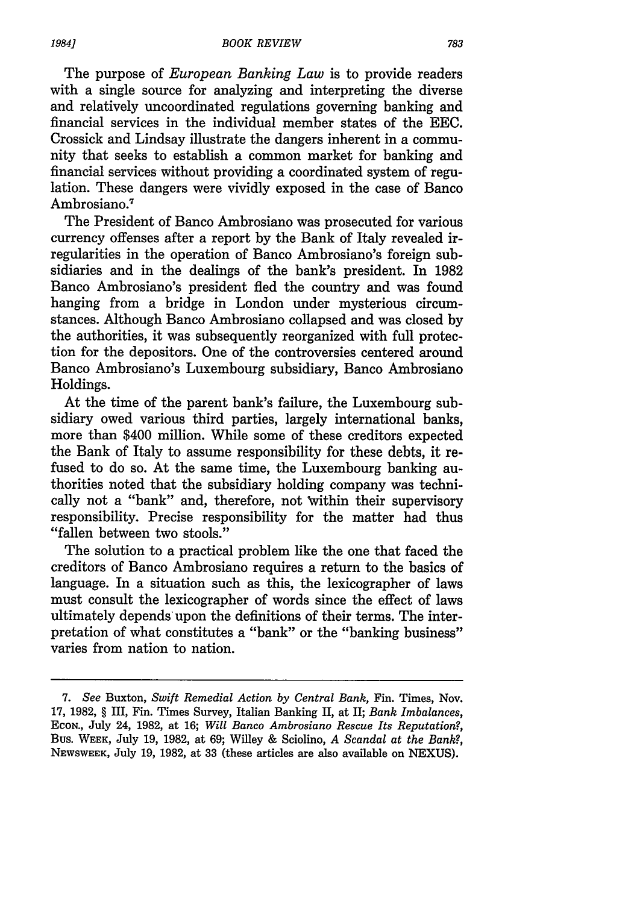The purpose of *European Banking Law* is to provide readers with a single source for analyzing and interpreting the diverse and relatively uncoordinated regulations governing banking and financial services in the individual member states of the EEC. Crossick and Lindsay illustrate the dangers inherent in a community that seeks to establish a common market for banking and financial services without providing a coordinated system of regulation. These dangers were vividly exposed in the case of Banco Ambrosiano.7

The President of Banco Ambrosiano was prosecuted for various currency offenses after a report by the Bank of Italy revealed irregularities in the operation of Banco Ambrosiano's foreign subsidiaries and in the dealings of the bank's president. In 1982 Banco Ambrosiano's president fled the country and was found hanging from a bridge in London under mysterious circumstances. Although Banco Ambrosiano collapsed and was closed by the authorities, it was subsequently reorganized with full protection for the depositors. One of the controversies centered around Banco Ambrosiano's Luxembourg subsidiary, Banco Ambrosiano Holdings.

At the time of the parent bank's failure, the Luxembourg subsidiary owed various third parties, largely international banks, more than \$400 million. While some of these creditors expected the Bank of Italy to assume responsibility for these debts, it refused to do so. At the same time, the Luxembourg banking authorities noted that the subsidiary holding company was technically not a "bank" and, therefore, not Within their supervisory responsibility. Precise responsibility for the matter had thus "fallen between two stools."

The solution to a practical problem like the one that faced the creditors of Banco Ambrosiano requires a return to the basics of language. In a situation such as this, the lexicographer of laws must consult the lexicographer of words since the effect of laws ultimately depends'upon the definitions of their terms. The interpretation of what constitutes a "bank" or the "banking business" varies from nation to nation.

*<sup>7.</sup> See* Buxton, *Swift Remedial Action by Central Bank,* Fin. Times, Nov. 17, 1982, § III, Fin. Times Survey, Italian Banking II, at II; *Bank Imbalances,* ECON., July 24, 1982, at 16; *Will Banco Ambrosiano Rescue Its Reputation?,* Bus. WEEK, July 19, 1982, at 69; Willey & Sciolino, *A Scandal at the Bank?,* NEWSWEEK, July 19, 1982, at 33 (these articles are also available on NEXUS).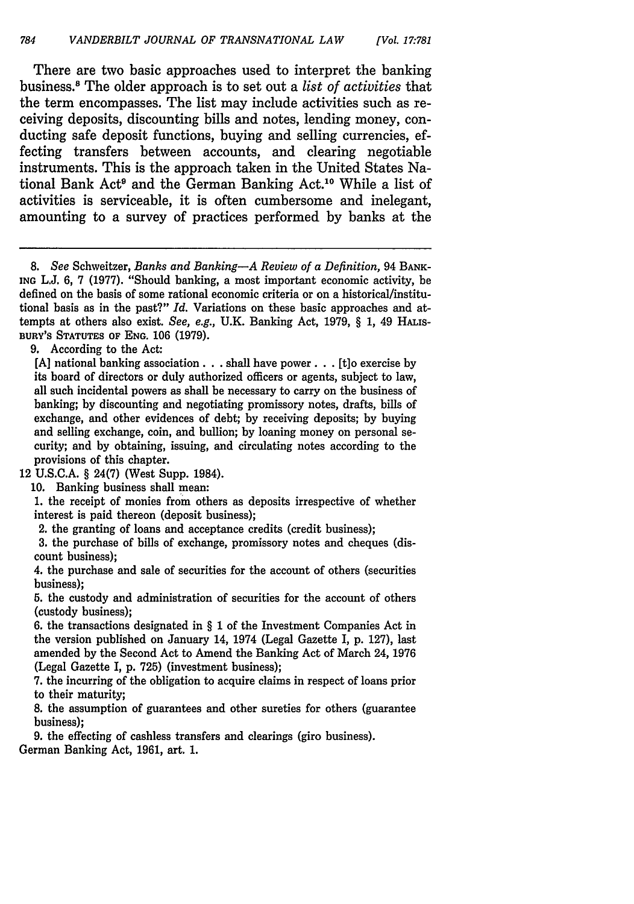There are two basic approaches used to interpret the banking business." The older approach is to set out a *list of activities* that the term encompasses. The list may include activities such as receiving deposits, discounting bills and notes, lending money, conducting safe deposit functions, buying and selling currencies, effecting transfers between accounts, and clearing negotiable instruments. This is the approach taken in the United States National Bank Act' and the German Banking Act.10 While a list of activities is serviceable, it is often cumbersome and inelegant, amounting to a survey of practices performed by banks at the

*8. See* Schweitzer, *Banks and Banking-A Review of a Definition,* 94 BANK-**ING** L.J. 6, 7 (1977). "Should banking, a most important economic activity, be defined on the basis of some rational economic criteria or on a historical/institutional basis as in the past?" *Id.* Variations on these basic approaches and attempts at others also exist. *See, e.g.,* U.K. Banking Act, 1979, § 1, 49 HAis-BURY'S **STATUTES OF ENG.** 106 (1979).

9. According to the Act:

[A] national banking association **...** shall have power **...** [t]o exercise by its board of directors or duly authorized officers or agents, subject to law, all such incidental powers as shall be necessary to carry on the business of banking; by discounting and negotiating promissory notes, drafts, bills of exchange, and other evidences of debt; by receiving deposits; by buying and selling exchange, coin, and bullion; by loaning money on personal security; and by obtaining, issuing, and circulating notes according to the provisions of this chapter.

12 U.S.C.A. § 24(7) (West Supp. 1984).

10. Banking business shall mean:

1. the receipt of monies from others as deposits irrespective of whether interest is paid thereon (deposit business);

2. the granting of loans and acceptance credits (credit business);

3. the purchase of bills of exchange, promissory notes and cheques (discount business);

4. the purchase and sale of securities for the account of others (securities business);

5. the custody and administration of securities for the account of others (custody business);

6. the transactions designated in § 1 of the Investment Companies Act in the version published on January 14, 1974 (Legal Gazette I, p. 127), last amended by the Second Act to Amend the Banking Act of March 24, 1976 (Legal Gazette I, p. 725) (investment business);

7. the incurring of the obligation to acquire claims in respect of loans prior to their maturity;

8. the assumption of guarantees and other sureties for others (guarantee business);

**9.** the effecting of cashless transfers and clearings (giro business). German Banking Act, **1961,** art. **1.**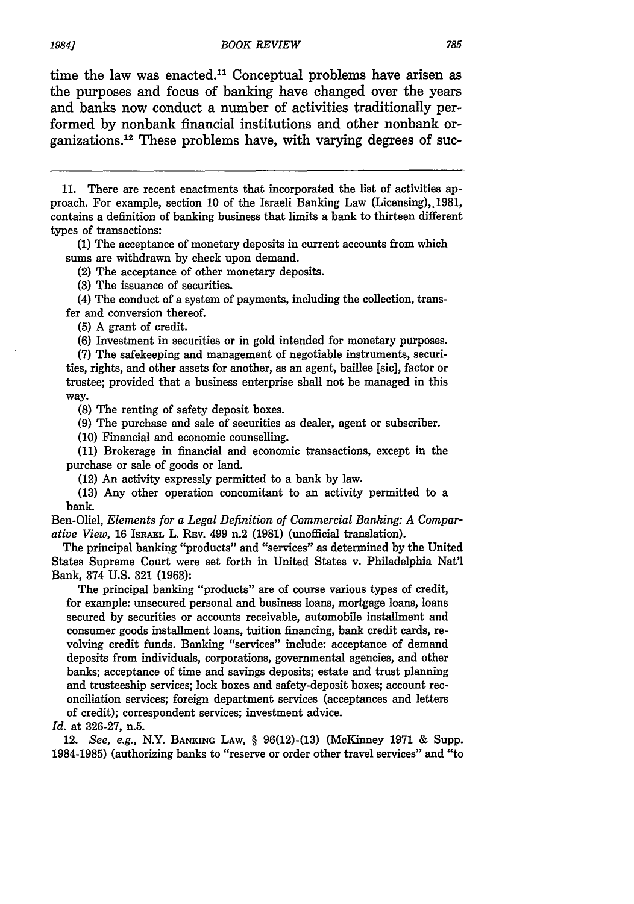time the law was enacted. $11$  Conceptual problems have arisen as the purposes and focus of banking have changed over the years and banks now conduct a number of activities traditionally performed by nonbank financial institutions and other nonbank organizations.<sup>12</sup> These problems have, with varying degrees of suc-

(1) The acceptance of monetary deposits in current accounts from which sums are withdrawn by check upon demand.

(2) The acceptance of other monetary deposits.

(3) The issuance of securities.

(4) The conduct of a system of payments, including the collection, transfer and conversion thereof.

(5) A grant of credit.

(6) Investment in securities or in gold intended for monetary purposes.

(7) The safekeeping and management of negotiable instruments, securities, rights, and other assets for another, as an agent, baillee [sic], factor or trustee; provided that a business enterprise shall not be managed in this way.

(8) The renting of safety deposit boxes.

**(9)** The purchase and sale of securities as dealer, agent or subscriber.

**(10)** Financial and economic counselling.

**(11)** Brokerage in financial and economic transactions, except in the purchase or sale of goods or land.

(12) An activity expressly permitted to a bank **by** law.

**(13)** Any other operation concomitant to an activity permitted to a bank.

Ben-Oliel, *Elements for a Legal Definition of Commercial Banking: A Comparative View,* 16 ISRAEL L. REv. 499 n.2 (1981) (unofficial translation).

The principal banking "products" and "services" as determined by the United States Supreme Court were set forth in United States v. Philadelphia Nat'l Bank, 374 U.S. 321 (1963):

The principal banking "products" are of course various types of credit, for example: unsecured personal and business loans, mortgage loans, loans secured by securities or accounts receivable, automobile installment and consumer goods installment loans, tuition financing, bank credit cards, revolving credit funds. Banking "services" include: acceptance of demand deposits from individuals, corporations, governmental agencies, and other banks; acceptance of time and savings deposits; estate and trust planning and trusteeship services; lock boxes and safety-deposit boxes; account reconciliation services; foreign department services (acceptances and letters of credit); correspondent services; investment advice.

*Id.* at 326-27, n.5.

12. *See, e.g.,* N.Y. **BANKING** LAW, § 96(12)-(13) (McKinney 1971 & Supp. 1984-1985) (authorizing banks to "reserve or order other travel services" and "to

<sup>11.</sup> There are recent enactments that incorporated the list of activities approach. For example, section 10 of the Israeli Banking Law (Licensing), 1981, contains a definition of banking business that limits a bank to thirteen different types of transactions: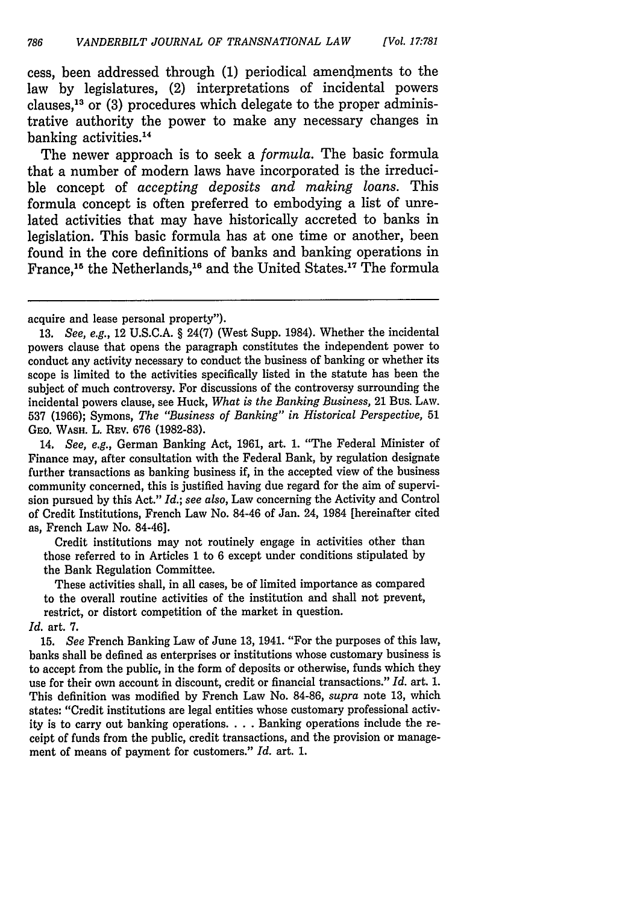cess, been addressed through (1) periodical amendments to the law by legislatures, (2) interpretations of incidental powers clauses,<sup>13</sup> or  $(3)$  procedures which delegate to the proper administrative authority the power to make any necessary changes in banking activities.<sup>14</sup>

The newer approach is to seek a *formula.* The basic formula that a number of modern laws have incorporated is the irreducible concept of *accepting deposits and making loans.* This formula concept is often preferred to embodying a list of unrelated activities that may have historically accreted to banks in legislation. This basic formula has at one time or another, been found in the core definitions of banks and banking operations in France,<sup>15</sup> the Netherlands,<sup>16</sup> and the United States.<sup>17</sup> The formula

14. *See, e.g.,* German Banking Act, 1961, art. 1. "The Federal Minister of Finance may, after consultation with the Federal Bank, by regulation designate further transactions as banking business if, in the accepted view of the business community concerned, this is justified having due regard for the aim of supervision pursued by this Act." *Id.; see also,* Law concerning the Activity and Control of Credit Institutions, French Law No. 84-46 of Jan. 24, 1984 [hereinafter cited as, French Law No. 84-46].

Credit institutions may not routinely engage in activities other than those referred to in Articles 1 to 6 except under conditions stipulated by the Bank Regulation Committee.

These activities shall, in all cases, be of limited importance as compared to the overall routine activities of the institution and shall not prevent, restrict, or distort competition of the market in question. *Id.* art. 7.

15. *See* French Banking Law of June 13, 1941. "For the purposes of this law, banks shall be defined as enterprises or institutions whose customary business is to accept from the public, in the form of deposits or otherwise, funds which they use for their own account in discount, credit or financial transactions." *Id.* art. 1. This definition was modified by French Law No. 84-86, *supra* note 13, which states: "Credit institutions are legal entities whose customary professional activity is to carry out banking operations. . **.** .Banking operations include the receipt of funds from the public, credit transactions, and the provision or management of means of payment for customers." *Id.* art. 1.

acquire and lease personal property").

<sup>13.</sup> See, e.g., 12 U.S.C.A. § 24(7) (West Supp. 1984). Whether the incidental powers clause that opens the paragraph constitutes the independent power to conduct any activity necessary to conduct the business of banking or whether its scope is limited to the activities specifically listed in the statute has been the subject of much controversy. For discussions of the controversy surrounding the incidental powers clause, see Huck, *What is the Banking Business,* 21 Bus. LAW. **537** (1966); Symons, *The "Business of Banking" in Historical Perspective,* 51 GEO. WASH. L. REV. 676 (1982-83).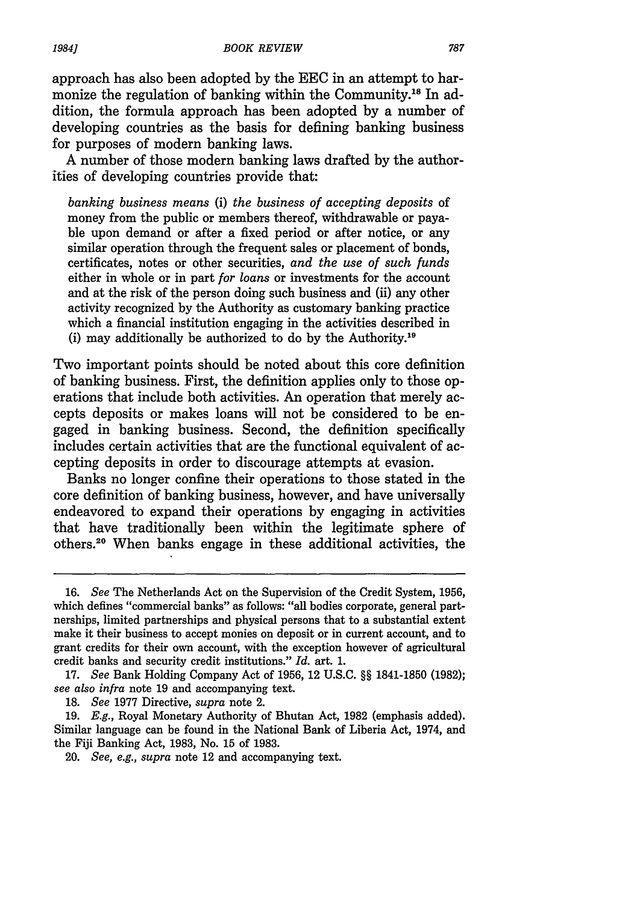approach has also been adopted by the EEC in an attempt to harmonize the regulation of banking within the Community.<sup>18</sup> In addition, the formula approach has been adopted by a number of developing countries as the basis for defining banking business for purposes of modern banking laws.

A number of those modern banking laws drafted by the authorities of developing countries provide that:

*banking business means* (i) *the business of accepting deposits* of money from the public or members thereof, withdrawable or payable upon demand or after a fixed period or after notice, or any similar operation through the frequent sales or placement of bonds, certificates, notes or other securities, *and the use of such funds* either in whole or in part *for loans* or investments for the account and at the risk of the person doing such business and (ii) any other activity recognized by the Authority as customary banking practice which a financial institution engaging in the activities described in (i) may additionally be authorized to do by the Authority.<sup>16</sup>

Two important points should be noted about this core definition of banking business. First, the definition applies only to those operations that include both activities. An operation that merely accepts deposits or makes loans will not be considered to be engaged in banking business. Second, the definition specifically includes certain activities that are the functional equivalent of accepting deposits in order to discourage attempts at evasion.

Banks no longer confine their operations to those stated in the core definition of banking business, however, and have universally endeavored to expand their operations by engaging in activities that have traditionally been within the legitimate sphere of others.20 When banks engage in these additional activities, the

18. *See* 1977 Directive, *supra* note 2.

<sup>16.</sup> *See* The Netherlands Act on the Supervision of the Credit System, 1956, which defines "commercial banks" as follows: "all bodies corporate, general partnerships, limited partnerships and physical persons that to a substantial extent make it their business to accept monies on deposit or in current account, and to grant credits for their own account, with the exception however of agricultural credit banks and security credit institutions." *Id.* art. 1.

<sup>17.</sup> *See* Bank Holding Company Act of 1956, 12 U.S.C. §§ 1841-1850 (1982); *see also infra* note 19 and accompanying text.

<sup>19.</sup> *E.g.,* Royal Monetary Authority of Bhutan Act, 1982 (emphasis added). Similar language can be found in the National Bank of Liberia Act, 1974, and the Fiji Banking Act, 1983, No. 15 of 1983.

<sup>20.</sup> *See, e.g., supra* note 12 and accompanying text.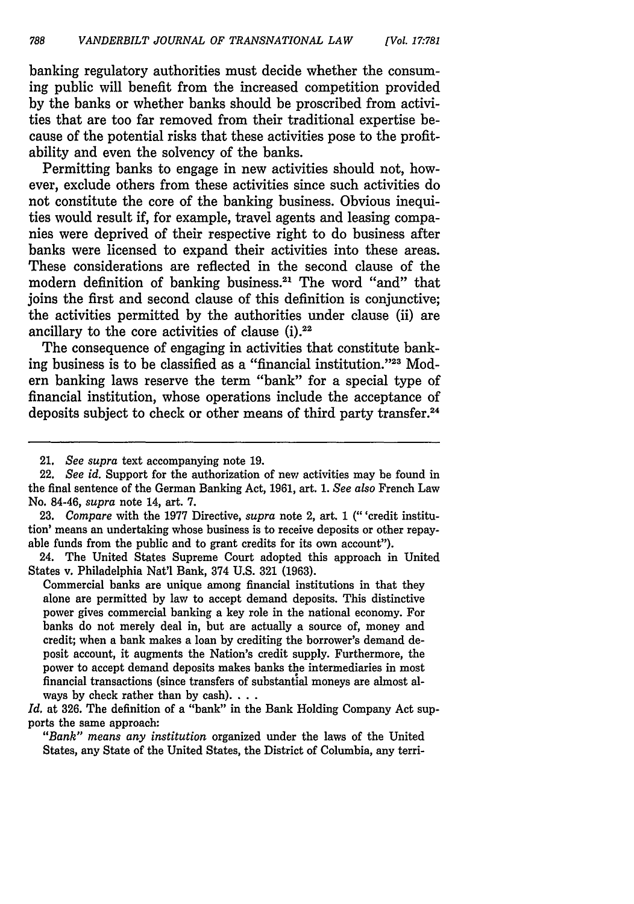banking regulatory authorities must decide whether the consuming public will benefit from the increased competition provided by the banks or whether banks should be proscribed from activities that are too far removed from their traditional expertise because of the potential risks that these activities pose to the profitability and even the solvency of the banks.

Permitting banks to engage in new activities should not, however, exclude others from these activities since such activities do not constitute the core of the banking business. Obvious inequities would result if, for example, travel agents and leasing companies were deprived of their respective right to do business after banks were licensed to expand their activities into these areas. These considerations are reflected in the second clause of the modern definition of banking business.21 The word "and" that joins the first and second clause of this definition is conjunctive; the activities permitted by the authorities under clause (ii) are ancillary to the core activities of clause  $(i).^{22}$ 

The consequence of engaging in activities that constitute banking business is to be classified as a "financial institution."<sup>23</sup> Modern banking laws reserve the term "bank" for a special type of financial institution, whose operations include the acceptance of deposits subject to check or other means of third party transfer.<sup>24</sup>

23. *Compare* with the 1977 Directive, *supra* note 2, art. 1 (" 'credit institution' means an undertaking whose business is to receive deposits or other repayable funds from the public and to grant credits for its own account").

24. The United States Supreme Court adopted this approach in United States v. Philadelphia Nat'l Bank, 374 U.S. 321 (1963).

Commercial banks are unique among financial institutions in that they alone are permitted by law to accept demand deposits. This distinctive power gives commercial banking a key role in the national economy. For banks do not merely deal in, but are actually a source of, money and credit; when a bank makes a loan by crediting the borrower's demand deposit account, it augments the Nation's credit supply. Furthermore, the power to accept demand deposits makes banks the intermediaries in most financial transactions (since transfers of substantial moneys are almost always by check rather than by cash).  $\ldots$ 

*Id.* at 326. The definition of a "bank" in the Bank Holding Company Act supports the same approach:

*"Bank" means any institution* organized under the laws of the United States, any State of the United States, the District of Columbia, any terri-

<sup>21.</sup> *See supra* text accompanying note 19.

<sup>22.</sup> *See id.* Support for the authorization of new activities may be found in the final sentence of the German Banking Act, 1961, art. 1. *See also* French Law No. 84-46, *supra* note 14, art. 7.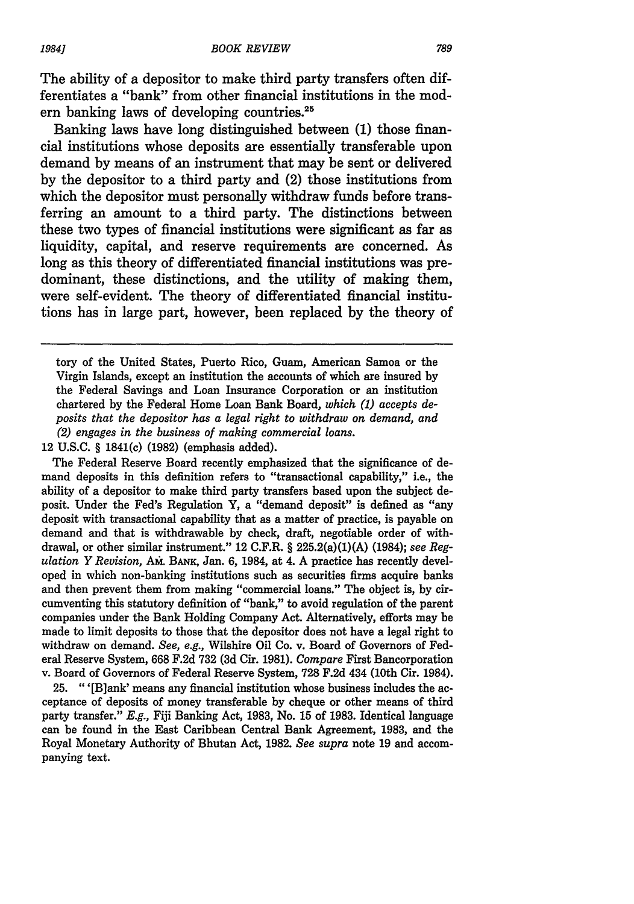The ability of a depositor to make third party transfers often differentiates a "bank" from other financial institutions in the modern banking laws of developing countries.<sup>25</sup>

Banking laws have long distinguished between (1) those financial institutions whose deposits are essentially transferable upon demand by means of an instrument that may be sent or delivered by the depositor to a third party and (2) those institutions from which the depositor must personally withdraw funds before transferring an amount to a third party. The distinctions between these two types of financial institutions were significant as far as liquidity, capital, and reserve requirements are concerned. As long as this theory of differentiated financial institutions was predominant, these distinctions, and the utility of making them, were self-evident. The theory of differentiated financial institutions has in large part, however, been replaced by the theory of

12 **U.S.C.** § 1841(c) (1982) (emphasis added).

The Federal Reserve Board recently emphasized that the significance of demand deposits in this definition refers to "transactional capability," i.e., the ability of a depositor to make third party transfers based upon the subject deposit. Under the Fed's Regulation Y, a "demand deposit" is defined as "any deposit with transactional capability that as a matter of practice, is payable on demand and that is withdrawable by check, draft, negotiable order of withdrawal, or other similar instrument." 12 C.F.R. § 225.2(a)(1)(A) (1984); *see Regulation Y Revision,* AM. BANK, Jan. 6, 1984, at 4. **A** practice has recently developed in which non-banking institutions such as securities firms acquire banks and then prevent them from making "commercial loans." The object is, by circumventing this statutory definition of "bank," to avoid regulation of the parent companies under the Bank Holding Company Act. Alternatively, efforts may be made to limit deposits to those that the depositor does not have a legal right to withdraw on demand. *See, e.g.,* Wilshire Oil Co. v. Board of Governors of Federal Reserve System, 668 F.2d 732 (3d Cir. 1981). *Compare* First Bancorporation v. Board of Governors of Federal Reserve System, 728 F.2d 434 (10th Cir. 1984).

**25.** "'[Blank' means any financial institution whose business includes the acceptance of deposits of money transferable by cheque or other means of third party transfer." *E.g.,* **Fiji** Banking Act, 1983, No. 15 of 1983. Identical language can be found in the East Caribbean Central Bank Agreement, 1983, and the Royal Monetary Authority of Bhutan Act, 1982. *See supra* note 19 and accompanying text.

tory of the United States, Puerto Rico, Guam, American Samoa or the Virgin Islands, except an institution the accounts of which are insured **by** the Federal Savings and Loan Insurance Corporation or an institution chartered **by** the Federal Home Loan Bank Board, *which (1) accepts deposits that the depositor has a legal right to withdraw on demand, and (2) engages in the business of making commercial loans.*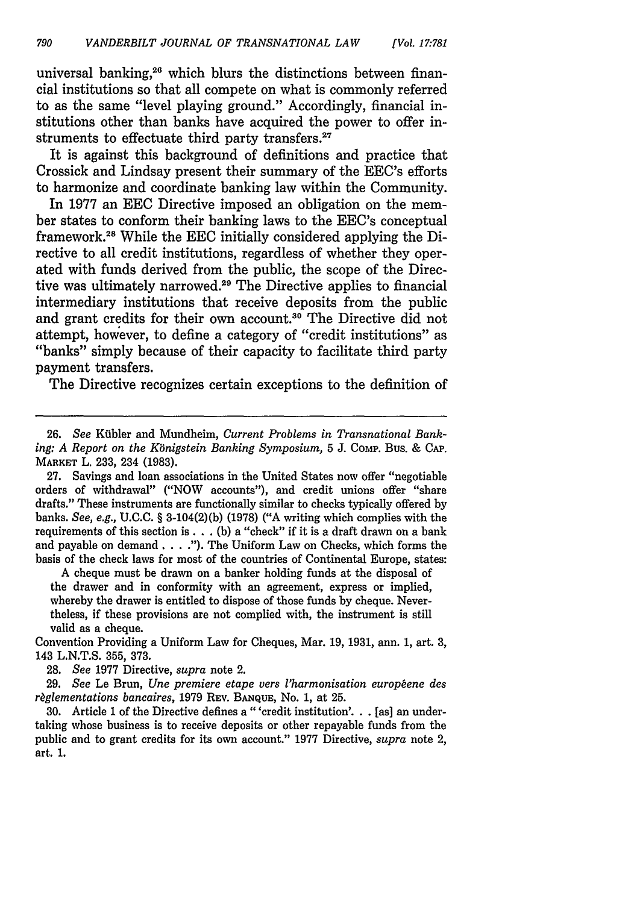universal banking,<sup>26</sup> which blurs the distinctions between financial institutions so that all compete on what is commonly referred to as the same "level playing ground." Accordingly, financial institutions other than banks have acquired the power to offer instruments to effectuate third party transfers.<sup>27</sup>

It is against this background of definitions and practice that Crossick and Lindsay present their summary of the EEC's efforts to harmonize and coordinate banking law within the Community.

In 1977 an EEC Directive imposed an obligation on the member states to conform their banking laws to the EEC's conceptual framework.<sup>28</sup> While the EEC initially considered applying the Directive to all credit institutions, regardless of whether they operated with funds derived from the public, the scope of the Directive was ultimately narrowed.<sup>29</sup> The Directive applies to financial intermediary institutions that receive deposits from the public and grant credits for their own account.<sup>30</sup> The Directive did not attempt, however, to define a category of "credit institutions" as "banks" simply because of their capacity to facilitate third party payment transfers.

The Directive recognizes certain exceptions to the definition of

27. Savings and loan associations in the United States now offer "negotiable orders of withdrawal" ("NOW accounts"), and credit unions offer "share drafts." These instruments are functionally similar to checks typically offered by banks. *See, e.g.,* U.C.C. § 3-104(2)(b) (1978) ("A writing which complies with the requirements of this section **is. .** . (b) a "check" if it is a draft drawn on a bank and payable on demand. . . **.").** The Uniform Law on Checks, which forms the basis of the check laws for most of the countries of Continental Europe, states:

A cheque must be drawn on a banker holding funds at the disposal of the drawer and in conformity with an agreement, express or implied, whereby the drawer is entitled to dispose of those funds by cheque. Nevertheless, if these provisions are not complied with, the instrument is still valid as a cheque.

Convention Providing a Uniform Law for Cheques, Mar. 19, 1931, ann. 1, art. 3, 143 L.N.T.S. 355, 373.

28. *See* 1977 Directive, *supra* note 2.

29. *See* Le Brun, *Une premiere etape vers l'harmonisation europene des r~glementations bancaires,* 1979 REV. BANQUE, No. 1, at 25.

30. Article 1 of the Directive defines a "'credit institution'... [as] an undertaking whose business is to receive deposits or other repayable funds from the public and to grant credits for its own account." 1977 Directive, *supra* note 2, art. 1.

**<sup>26.</sup>** *See* Kijbler and Mundheim, *Current Problems in Transnational Banking: A Report on the Kbnigstein Banking Symposium,* 5 J. Comp. Bus. & **CAP.** MARKET L. 233, 234 **(1983).**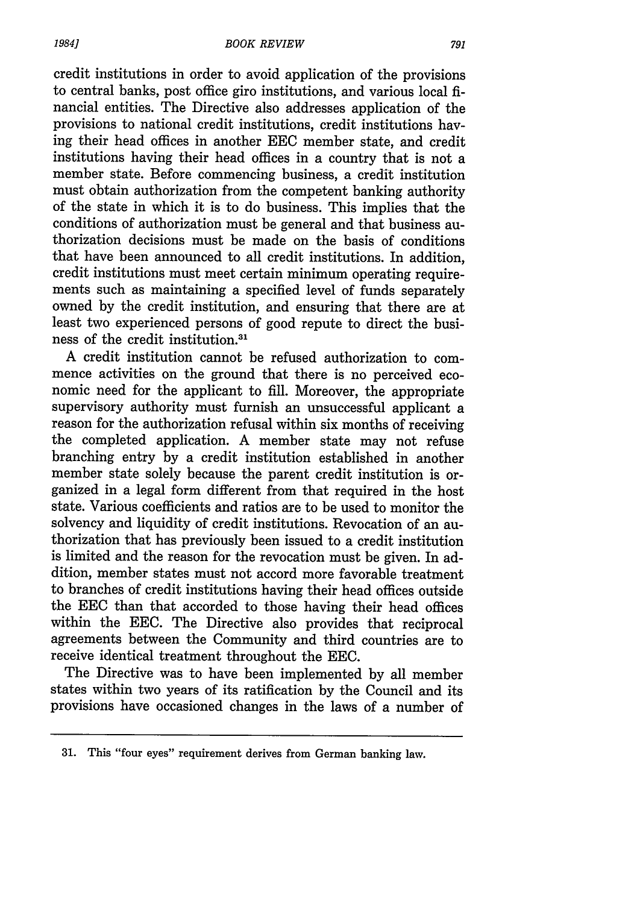credit institutions in order to avoid application of the provisions to central banks, post office giro institutions, and various local financial entities. The Directive also addresses application of the provisions to national credit institutions, credit institutions having their head offices in another EEC member state, and credit institutions having their head offices in a country that is not a member state. Before commencing business, a credit institution must obtain authorization from the competent banking authority of the state in which it is to do business. This implies that the conditions of authorization must be general and that business authorization decisions must be made on the basis of conditions that have been announced to all credit institutions. In addition, credit institutions must meet certain minimum operating requirements such as maintaining a specified level of funds separately owned by the credit institution, and ensuring that there are at least two experienced persons of good repute to direct the business of the credit institution.3'

A credit institution cannot be refused authorization to commence activities on the ground that there is no perceived economic need for the applicant to fill. Moreover, the appropriate supervisory authority must furnish an unsuccessful applicant a reason for the authorization refusal within six months of receiving the completed application. A member state may not refuse branching entry by a credit institution established in another member state solely because the parent credit institution is organized in a legal form different from that required in the host state. Various coefficients and ratios are to be used to monitor the solvency and liquidity of credit institutions. Revocation of an authorization that has previously been issued to a credit institution is limited and the reason for the revocation must be given. In addition, member states must not accord more favorable treatment to branches of credit institutions having their head offices outside the EEC than that accorded to those having their head offices within the EEC. The Directive also provides that reciprocal agreements between the Community and third countries are to receive identical treatment throughout the EEC.

The Directive was to have been implemented by all member states within two years of its ratification by the Council and its provisions have occasioned changes in the laws of a number of

<sup>31.</sup> This "four eyes" requirement derives from German banking law.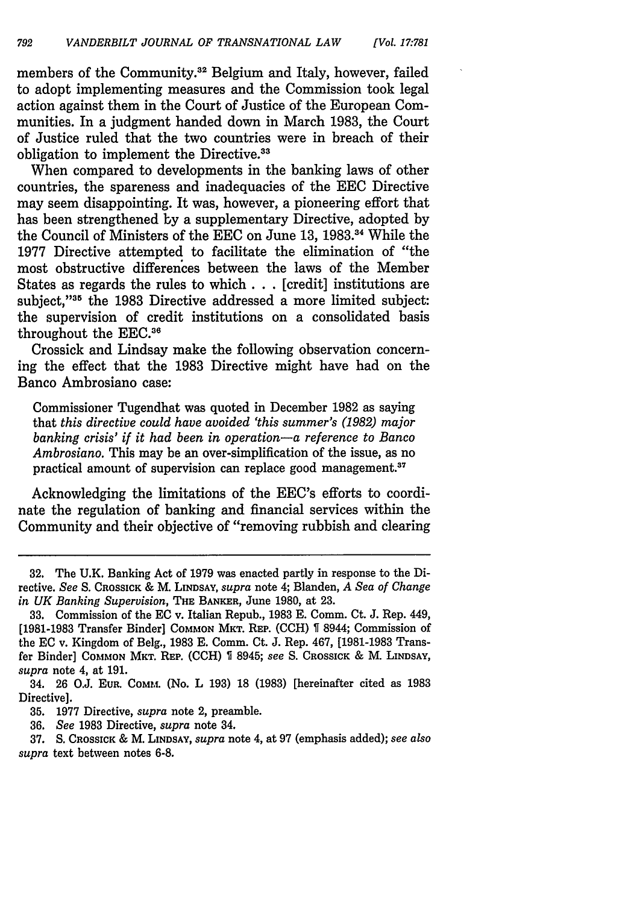members of the Community.<sup>32</sup> Belgium and Italy, however, failed to adopt implementing measures and the Commission took legal action against them in the Court of Justice of the European Communities. In a judgment handed down in March 1983, the Court of Justice ruled that the two countries were in breach of their obligation to implement the Directive.<sup>33</sup>

When compared to developments in the banking laws of other countries, the spareness and inadequacies of the EEC Directive may seem disappointing. It was, however, a pioneering effort that has been strengthened by a supplementary Directive, adopted by the Council of Ministers of the EEC on June 13, 1983.34 While the 1977 Directive attempted to facilitate the elimination of "the most obstructive differences between the laws of the Member States as regards the rules to which **. .** . [credit] institutions are subject."<sup>35</sup> the 1983 Directive addressed a more limited subject: the supervision of credit institutions on a consolidated basis throughout the EEC.<sup>36</sup>

Crossick and Lindsay make the following observation concerning the effect that the 1983 Directive might have had on the Banco Ambrosiano case:

Commissioner Tugendhat was quoted in December 1982 as saying that *this directive could have avoided 'this summer's (1982) major banking crisis' if it had been in operation-a reference to Banco Ambrosiano.* This may be an over-simplification of the issue, as no practical amount of supervision can replace good management.<sup>37</sup>

Acknowledging the limitations of the EEC's efforts to coordinate the regulation of banking and financial services within the Community and their objective of "removing rubbish and clearing

**<sup>32.</sup>** The U.K. Banking Act of 1979 was enacted partly in response to the Directive. *See* **S. CROSSICK &** M. **LINDSAY,** *supra* note 4; Blanden, *A Sea of Change in UK Banking Supervision,* **THE BANKER,** June 1980, at 23.

**<sup>33.</sup>** Commission of the EC v. Italian Repub., 1983 **E.** Comm. Ct. J. Rep. 449, [1981-1983 Transfer Binder] COMMON MKT. **REP.** (CCH) **%** 8944; Commission of the EC v. Kingdom of Beig., 1983 **E.** Comm. Ct. J. Rep. 467, [1981-1983 Transfer Binder] **COMMON MKT. REP.** (CCH) 8945; *see S.* CROSSICK & M. LINDSAY, *supra* note 4, at 191.

<sup>34. 26</sup> O.J. **EUR. COMM.** (No. L 193) 18 (1983) [hereinafter cited as 1983 Directive].

<sup>35. 1977</sup> Directive, *supra* note 2, preamble.

<sup>36.</sup> *See* 1983 Directive, *supra* note 34.

<sup>37.</sup> S. CROSSICK & M. **LINDSAY,** *supra* note 4, at 97 (emphasis added); *see also supra* text between notes 6-8.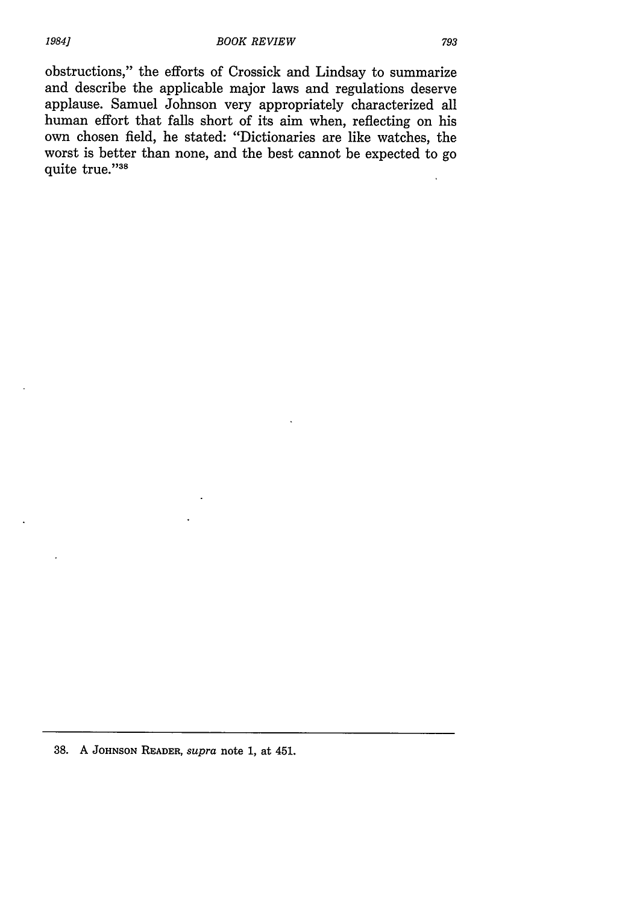38. A **JOHNSON** READER, *supra* note **1,** at 451.